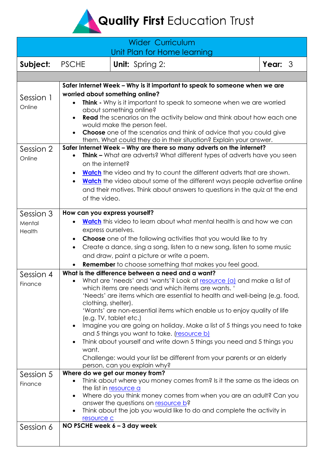Quality First Education Trust

<span id="page-0-0"></span>

| <b>Wider Curriculum</b><br>Unit Plan for Home learning |                                                                                                                                                                                                                                                                                                                                                                                                                                                                                                                                                                                                                                                                                                                                                                                                                                                                                                                                                                    |                        |           |
|--------------------------------------------------------|--------------------------------------------------------------------------------------------------------------------------------------------------------------------------------------------------------------------------------------------------------------------------------------------------------------------------------------------------------------------------------------------------------------------------------------------------------------------------------------------------------------------------------------------------------------------------------------------------------------------------------------------------------------------------------------------------------------------------------------------------------------------------------------------------------------------------------------------------------------------------------------------------------------------------------------------------------------------|------------------------|-----------|
| Subject:                                               | <b>PSCHE</b>                                                                                                                                                                                                                                                                                                                                                                                                                                                                                                                                                                                                                                                                                                                                                                                                                                                                                                                                                       | <b>Unit:</b> Spring 2: | Year: $3$ |
|                                                        |                                                                                                                                                                                                                                                                                                                                                                                                                                                                                                                                                                                                                                                                                                                                                                                                                                                                                                                                                                    |                        |           |
| Session 1<br>Online<br>Session 2<br>Online             | Safer Internet Week - Why is it important to speak to someone when we are<br>worried about something online?<br><b>Think</b> - Why is it important to speak to someone when we are worried<br>about something online?<br><b>Read</b> the scenarios on the activity below and think about how each one<br>$\bullet$<br>would make the person feel.<br><b>Choose</b> one of the scenarios and think of advice that you could give<br>them. What could they do in their situation? Explain your answer.<br>Safer Internet Week - Why are there so many adverts on the internet?<br><b>Think -</b> What are adverts? What different types of adverts have you seen<br>on the internet?<br><b>Watch</b> the video and try to count the different adverts that are shown.<br><b>Watch</b> the video about some of the different ways people advertise online<br>$\bullet$<br>and their motives. Think about answers to questions in the quiz at the end<br>of the video. |                        |           |
| Session 3<br>Mental<br>Health                          | How can you express yourself?<br>Watch this video to learn about what mental health is and how we can<br>express ourselves.<br><b>Choose</b> one of the following activities that you would like to try<br>$\bullet$<br>Create a dance, sing a song, listen to a new song, listen to some music<br>$\bullet$<br>and draw, paint a picture or write a poem.<br><b>Remember</b> to choose something that makes you feel good.<br>$\bullet$                                                                                                                                                                                                                                                                                                                                                                                                                                                                                                                           |                        |           |
| Session 4<br>Finance                                   | What is the difference between a need and a want?<br>What are 'needs' and 'wants'? Look at resource (a) and make a list of<br>which items are needs and which items are wants. '<br>'Needs' are items which are essential to health and well-being (e.g. food,<br>clothing, shelter).<br>'Wants' are non-essential items which enable us to enjoy quality of life<br>(e.g. TV, tablet etc.)<br>Imagine you are going on holiday. Make a list of 5 things you need to take<br>and 5 things you want to take. (resource b)<br>Think about yourself and write down 5 things you need and 5 things you<br>want.<br>Challenge: would your list be different from your parents or an elderly<br>person, can you explain why?                                                                                                                                                                                                                                             |                        |           |
| Session 5<br>Finance                                   | Where do we get our money from?<br>Think about where you money comes from? Is it the same as the ideas on<br>the list in resource a<br>Where do you think money comes from when you are an adult? Can you<br>answer the questions on resource b?<br>Think about the job you would like to do and complete the activity in<br>resource c                                                                                                                                                                                                                                                                                                                                                                                                                                                                                                                                                                                                                            |                        |           |
| Session 6                                              | NO PSCHE week 6 - 3 day week                                                                                                                                                                                                                                                                                                                                                                                                                                                                                                                                                                                                                                                                                                                                                                                                                                                                                                                                       |                        |           |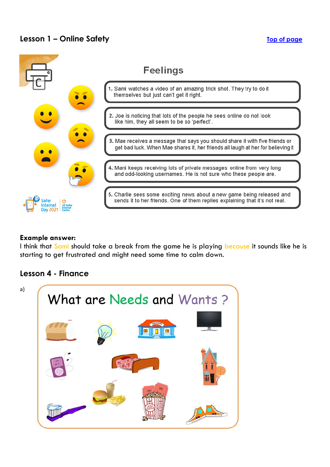## **Lesson 1 – Online Safety The Safety [Top of page](#page-0-0)**



#### **Example answer:**

I think that Sami should take a break from the game he is playing because it sounds like he is starting to get frustrated and might need some time to calm down.

### <span id="page-1-0"></span>**Lesson 4 - Finance**

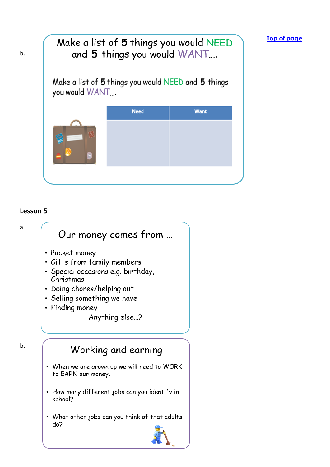# Make a list of 5 things you would NEED and 5 things you would WANT.... Make a list of 5 things you would NEED and 5 things you would WANT... **Need Want**

**[Top of page](#page-0-0)**

### <span id="page-2-0"></span>**Lesson 5**

b.